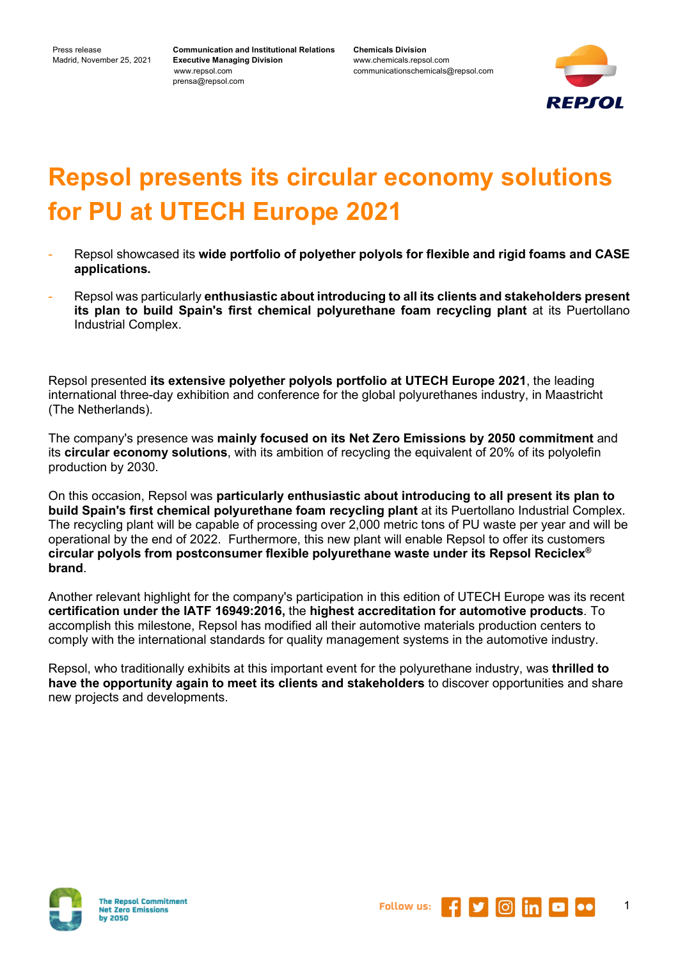**Communication and Institutional Relations Executive Managing Division** www.repsol.com prensa@repsol.com

**Chemicals Division** www.chemicals.repsol.com communicationschemicals@repsol.com



## **Repsol presents its circular economy solutions for PU at UTECH Europe 2021**

- Repsol showcased its **wide portfolio of polyether polyols for flexible and rigid foams and CASE applications.**
- Repsol was particularly **enthusiastic about introducing to all its clients and stakeholders present its plan to build Spain's first chemical polyurethane foam recycling plant** at its Puertollano Industrial Complex.

Repsol presented **its extensive polyether polyols portfolio at UTECH Europe 2021**, the leading international three-day exhibition and conference for the global polyurethanes industry, in Maastricht (The Netherlands).

The company's presence was **mainly focused on its Net Zero Emissions by 2050 commitment** and its **circular economy solutions**, with its ambition of recycling the equivalent of 20% of its polyolefin production by 2030.

On this occasion, Repsol was **particularly enthusiastic about introducing to all present its plan to build Spain's first chemical polyurethane foam recycling plant** at its Puertollano Industrial Complex. The recycling plant will be capable of processing over 2,000 metric tons of PU waste per year and will be operational by the end of 2022. Furthermore, this new plant will enable Repsol to offer its customers **circular polyols from postconsumer flexible polyurethane waste under its Repsol Reciclex® brand**.

Another relevant highlight for the company's participation in this edition of UTECH Europe was its recent **certification under the IATF 16949:2016,** the **highest accreditation for automotive products**. To accomplish this milestone, Repsol has modified all their automotive materials production centers to comply with the international standards for quality management systems in the automotive industry.

Repsol, who traditionally exhibits at this important event for the polyurethane industry, was **thrilled to have the opportunity again to meet its clients and stakeholders** to discover opportunities and share new projects and developments.





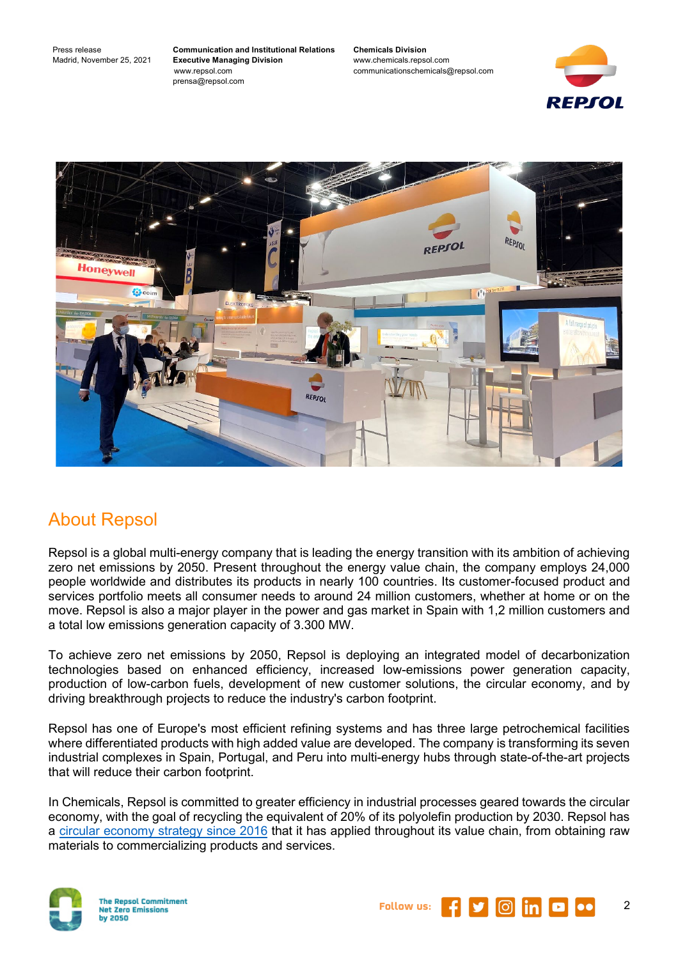**Communication and Institutional Relations Executive Managing Division** www.repsol.com prensa@repsol.com

**Chemicals Division** www.chemicals.repsol.com communicationschemicals@repsol.com





## About Repsol

Repsol is a global multi-energy company that is leading the energy transition with its ambition of achieving zero net emissions by 2050. Present throughout the energy value chain, the company employs 24,000 people worldwide and distributes its products in nearly 100 countries. Its customer-focused product and services portfolio meets all consumer needs to around 24 million customers, whether at home or on the move. Repsol is also a major player in the power and gas market in Spain with 1,2 million customers and a total low emissions generation capacity of 3.300 MW.

To achieve zero net emissions by 2050, Repsol is deploying an integrated model of decarbonization technologies based on enhanced efficiency, increased low-emissions power generation capacity, production of low-carbon fuels, development of new customer solutions, the circular economy, and by driving breakthrough projects to reduce the industry's carbon footprint.

Repsol has one of Europe's most efficient refining systems and has three large petrochemical facilities where differentiated products with high added value are developed. The company is transforming its seven industrial complexes in Spain, Portugal, and Peru into multi-energy hubs through state-of-the-art projects that will reduce their carbon footprint.

In Chemicals, Repsol is committed to greater efficiency in industrial processes geared towards the circular economy, with the goal of recycling the equivalent of 20% of its polyolefin production by 2030. Repsol has a [circular economy strategy since 2016](https://www.repsol.com/en/sustainability/circular-economy/index.cshtml) that it has applied throughout its value chain, from obtaining raw materials to commercializing products and services.